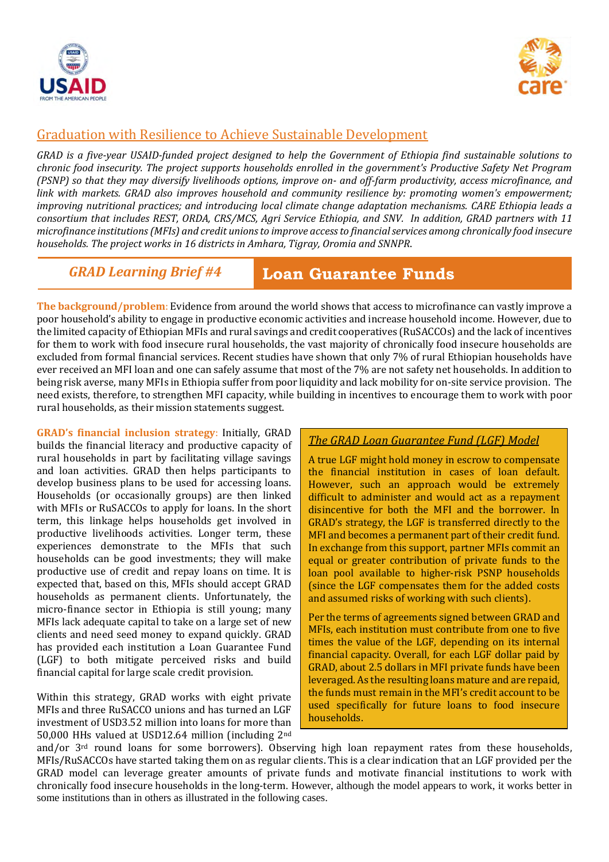



# Graduation with Resilience to Achieve Sustainable Development

*GRAD is a five-year USAID-funded project designed to help the Government of Ethiopia find sustainable solutions to chronic food insecurity. The project supports households enrolled in the government's Productive Safety Net Program (PSNP) so that they may diversify livelihoods options, improve on- and off-farm productivity, access microfinance, and link with markets. GRAD also improves household and community resilience by: promoting women's empowerment; improving nutritional practices; and introducing local climate change adaptation mechanisms. CARE Ethiopia leads a consortium that includes REST, ORDA, CRS/MCS, Agri Service Ethiopia, and SNV. In addition, GRAD partners with 11 microfinance institutions(MFIs) and credit unions to improve access to financial services among chronically food insecure households. The project works in 16 districts in Amhara, Tigray, Oromia and SNNPR*.

## *GRAD Learning Brief #4*

 **Loan Guarantee Funds** 

**The background/problem**: Evidence from around the world shows that access to microfinance can vastly improve a poor household's ability to engage in productive economic activities and increase household income. However, due to the limited capacity of Ethiopian MFIs and rural savings and credit cooperatives (RuSACCOs) and the lack of incentives for them to work with food insecure rural households, the vast majority of chronically food insecure households are excluded from formal financial services. Recent studies have shown that only 7% of rural Ethiopian households have ever received an MFI loan and one can safely assume that most of the 7% are not safety net households. In addition to being risk averse, many MFIs in Ethiopia suffer from poor liquidity and lack mobility for on-site service provision. The need exists, therefore, to strengthen MFI capacity, while building in incentives to encourage them to work with poor rural households, as their mission statements suggest.

**GRAD's financial inclusion strategy**: Initially, GRAD builds the financial literacy and productive capacity of rural households in part by facilitating village savings and loan activities. GRAD then helps participants to develop business plans to be used for accessing loans. Households (or occasionally groups) are then linked with MFIs or RuSACCOs to apply for loans. In the short term, this linkage helps households get involved in productive livelihoods activities. Longer term, these experiences demonstrate to the MFIs that such households can be good investments; they will make productive use of credit and repay loans on time. It is expected that, based on this, MFIs should accept GRAD households as permanent clients. Unfortunately, the micro-finance sector in Ethiopia is still young; many MFIs lack adequate capital to take on a large set of new clients and need seed money to expand quickly. GRAD has provided each institution a Loan Guarantee Fund (LGF) to both mitigate perceived risks and build financial capital for large scale credit provision.

Within this strategy, GRAD works with eight private MFIs and three RuSACCO unions and has turned an LGF investment of USD3.52 million into loans for more than 50,000 HHs valued at USD12.64 million (including 2nd

### *The GRAD Loan Guarantee Fund (LGF) Model*

A true LGF might hold money in escrow to compensate the financial institution in cases of loan default. However, such an approach would be extremely difficult to administer and would act as a repayment disincentive for both the MFI and the borrower. In GRAD's strategy, the LGF is transferred directly to the MFI and becomes a permanent part of their credit fund. In exchange from this support, partner MFIs commit an equal or greater contribution of private funds to the loan pool available to higher-risk PSNP households (since the LGF compensates them for the added costs and assumed risks of working with such clients).

Per the terms of agreements signed between GRAD and MFIs, each institution must contribute from one to five times the value of the LGF, depending on its internal financial capacity. Overall, for each LGF dollar paid by GRAD, about 2.5 dollars in MFI private funds have been leveraged. As the resulting loans mature and are repaid, the funds must remain in the MFI's credit account to be used specifically for future loans to food insecure households.

and/or  $3<sup>rd</sup>$  round loans for some borrowers). Observing high loan repayment rates from these households, MFIs/RuSACCOs have started taking them on as regular clients. This is a clear indication that an LGF provided per the GRAD model can leverage greater amounts of private funds and motivate financial institutions to work with chronically food insecure households in the long-term. However, although the model appears to work, it works better in some institutions than in others as illustrated in the following cases.